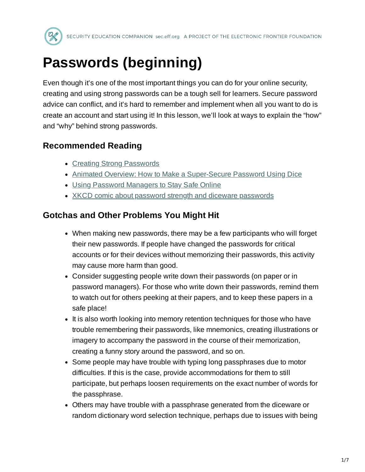

# **Passwords (beginning)**

Even though it's one of the most important things you can do for your online security, creating and using strong passwords can be a tough sell for learners. Secure password advice can conflict, and it's hard to remember and implement when all you want to do is create an account and start using it! In this lesson, we'll look at ways to explain the "how" and "why" behind strong passwords.

## **Recommended Reading**

- Creating Strong [Passwords](https://ssd.eff.org/en/module/creating-strong-passwords)
- Animated Overview: How to Make a [Super-Secure](https://ssd.eff.org/en/module/animated-overview-how-make-super-secure-password-using-dice) Password Using Dice
- Using Password [Managers to](https://archive.org/details/using-password-managers-to-stay-safe-online) Stay Safe Online
- XKCD [comic about](https://xkcd.com/936/) password strength and diceware passwords

### **Gotchas and Other Problems You Might Hit**

- When making new passwords, there may be a few participants who will forget their new passwords. If people have changed the passwords for critical accounts or for their devices without memorizing their passwords, this activity may cause more harm than good.
- Consider suggesting people write down their passwords (on paper or in password managers). For those who write down their passwords, remind them to watch out for others peeking at their papers, and to keep these papers in a safe place!
- It is also worth looking into memory retention techniques for those who have trouble remembering their passwords, like mnemonics, creating illustrations or imagery to accompany the password in the course of their memorization, creating a funny story around the password, and so on.
- Some people may have trouble with typing long passphrases due to motor difficulties. If this is the case, provide accommodations for them to still participate, but perhaps loosen requirements on the exact number of words for the passphrase.
- Others may have trouble with a passphrase generated from the diceware or random dictionary word selection technique, perhaps due to issues with being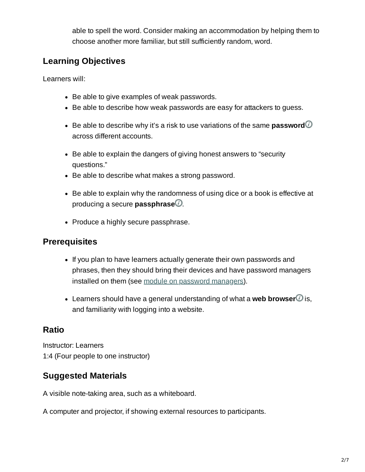able to spell the word. Consider making an accommodation by helping them to choose another more familiar, but still sufficiently random, word.

## **Learning Objectives**

Learners will:

- Be able to give examples of weak passwords.
- Be able to describe how weak passwords are easy for attackers to guess.
- Be able to describe why it's a risk to use variations of the same **password** across different accounts.
- Be able to explain the dangers of giving honest answers to "security questions."
- Be able to describe what makes a strong password.
- Be able to explain why the randomness of using dice or a book is effective at producing a secure **passphrase**.
- Produce a highly secure passphrase.

### **Prerequisites**

- If you plan to have learners actually generate their own passwords and phrases, then they should bring their devices and have password managers installed on them (see module on password [managers\)](https://sec.eff.org/topics/password-managers).
- $\bullet$  Learners should have a general understanding of what a **web browser** $\Omega$  is, and familiarity with logging into a website.

### **Ratio**

Instructor: Learners 1:4 (Four people to one instructor)

### **Suggested Materials**

A visible note-taking area, such as a whiteboard.

A computer and projector, if showing external resources to participants.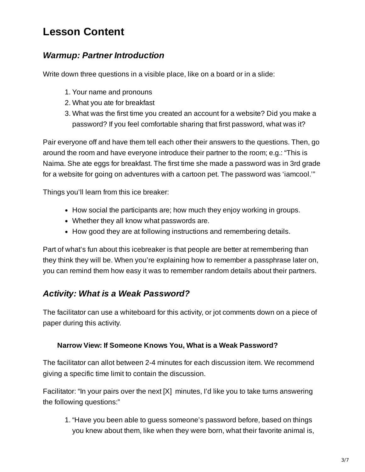# **Lesson Content**

### *Warmup: Partner Introduction*

Write down three questions in a visible place, like on a board or in a slide:

- 1. Your name and pronouns
- 2. What you ate for breakfast
- 3. What was the first time you created an account for a website? Did you make a password? If you feel comfortable sharing that first password, what was it?

Pair everyone off and have them tell each other their answers to the questions. Then, go around the room and have everyone introduce their partner to the room; e.g.: "This is Naima. She ate eggs for breakfast. The first time she made a password was in 3rd grade for a website for going on adventures with a cartoon pet. The password was 'iamcool.'"

Things you'll learn from this ice breaker:

- How social the participants are; how much they enjoy working in groups.
- Whether they all know what passwords are.
- How good they are at following instructions and remembering details.

Part of what's fun about this icebreaker is that people are better at remembering than they think they will be. When you're explaining how to remember a passphrase later on, you can remind them how easy it was to remember random details about their partners.

### *Activity: What is a Weak Password?*

The facilitator can use a whiteboard for this activity, or jot comments down on a piece of paper during this activity.

#### **Narrow View: If Someone Knows You, What is a Weak Password?**

The facilitator can allot between 2-4 minutes for each discussion item. We recommend giving a specific time limit to contain the discussion.

Facilitator: "In your pairs over the next [X] minutes, I'd like you to take turns answering the following questions:"

1. "Have you been able to guess someone's password before, based on things you knew about them, like when they were born, what their favorite animal is,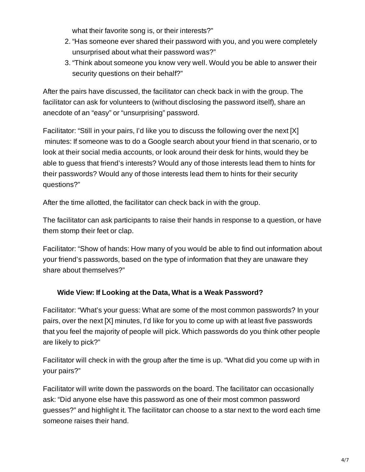what their favorite song is, or their interests?"

- 2. "Has someone ever shared their password with you, and you were completely unsurprised about what their password was?"
- 3. "Think about someone you know very well. Would you be able to answer their security questions on their behalf?"

After the pairs have discussed, the facilitator can check back in with the group. The facilitator can ask for volunteers to (without disclosing the password itself), share an anecdote of an "easy" or "unsurprising" password.

Facilitator: "Still in your pairs, I'd like you to discuss the following over the next [X] minutes: If someone was to do a Google search about your friend in that scenario, or to look at their social media accounts, or look around their desk for hints, would they be able to guess that friend's interests? Would any of those interests lead them to hints for their passwords? Would any of those interests lead them to hints for their security questions?"

After the time allotted, the facilitator can check back in with the group.

The facilitator can ask participants to raise their hands in response to a question, or have them stomp their feet or clap.

Facilitator: "Show of hands: How many of you would be able to find out information about your friend's passwords, based on the type of information that they are unaware they share about themselves?"

### **Wide View: If Looking at the Data, What is a Weak Password?**

Facilitator: "What's your guess: What are some of the most common passwords? In your pairs, over the next [X] minutes, I'd like for you to come up with at least five passwords that you feel the majority of people will pick. Which passwords do you think other people are likely to pick?"

Facilitator will check in with the group after the time is up. "What did you come up with in your pairs?"

Facilitator will write down the passwords on the board. The facilitator can occasionally ask: "Did anyone else have this password as one of their most common password guesses?" and highlight it. The facilitator can choose to a star next to the word each time someone raises their hand.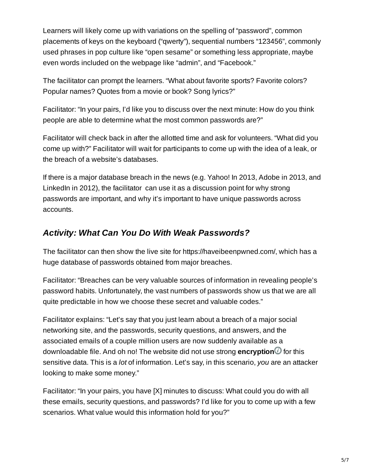Learners will likely come up with variations on the spelling of "password", common placements of keys on the keyboard ("qwerty"), sequential numbers "123456", commonly used phrases in pop culture like "open sesame" or something less appropriate, maybe even words included on the webpage like "admin", and "Facebook."

The facilitator can prompt the learners. "What about favorite sports? Favorite colors? Popular names? Quotes from a movie or book? Song lyrics?"

Facilitator: "In your pairs, I'd like you to discuss over the next minute: How do you think people are able to determine what the most common passwords are?"

Facilitator will check back in after the allotted time and ask for volunteers. "What did you come up with?" Facilitator will wait for participants to come up with the idea of a leak, or the breach of a website's databases.

If there is a major database breach in the news (e.g. Yahoo! In 2013, Adobe in 2013, and LinkedIn in 2012), the facilitator can use it as a discussion point for why strong passwords are important, and why it's important to have unique passwords across accounts.

### *Activity: What Can You Do With Weak Passwords?*

The facilitator can then show the live site for https://haveibeenpwned.com/, which has a huge database of passwords obtained from major breaches.

Facilitator: "Breaches can be very valuable sources of information in revealing people's password habits. Unfortunately, the vast numbers of passwords show us that we are all quite predictable in how we choose these secret and valuable codes."

Facilitator explains: "Let's say that you just learn about a breach of a major social networking site, and the passwords, security questions, and answers, and the associated emails of a couple million users are now suddenly available as a downloadable file. And oh no! The website did not use strong **encryption** for this sensitive data. This is a *lot* of information. Let's say, in this scenario, *you* are an attacker looking to make some money."

Facilitator: "In your pairs, you have [X] minutes to discuss: What could you do with all these emails, security questions, and passwords? I'd like for you to come up with a few scenarios. What value would this information hold for you?"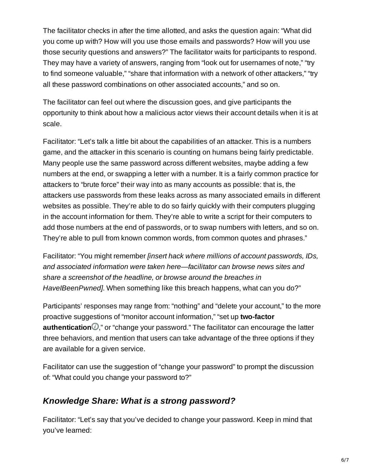The facilitator checks in after the time allotted, and asks the question again: "What did you come up with? How will you use those emails and passwords? How will you use those security questions and answers?" The facilitator waits for participants to respond. They may have a variety of answers, ranging from "look out for usernames of note," "try to find someone valuable," "share that information with a network of other attackers," "try all these password combinations on other associated accounts," and so on.

The facilitator can feel out where the discussion goes, and give participants the opportunity to think about how a malicious actor views their account details when it is at scale.

Facilitator: "Let's talk a little bit about the capabilities of an attacker. This is a numbers game, and the attacker in this scenario is counting on humans being fairly predictable. Many people use the same password across different websites, maybe adding a few numbers at the end, or swapping a letter with a number. It is a fairly common practice for attackers to "brute force" their way into as many accounts as possible: that is, the attackers use passwords from these leaks across as many associated emails in different websites as possible. They're able to do so fairly quickly with their computers plugging in the account information for them. They're able to write a script for their computers to add those numbers at the end of passwords, or to swap numbers with letters, and so on. They're able to pull from known common words, from common quotes and phrases."

Facilitator: "You might remember *[insert hack where millions of account passwords, IDs, and associated information were taken here—facilitator can browse news sites and share a screenshot of the headline, or browse around the breaches in HaveIBeenPwned]*. When something like this breach happens, what can you do?"

Participants' responses may range from: "nothing" and "delete your account," to the more proactive suggestions of "monitor account information," "set up **two-factor authentication**  $\mathbb{C}$ ," or "change your password." The facilitator can encourage the latter three behaviors, and mention that users can take advantage of the three options if they are available for a given service.

Facilitator can use the suggestion of "change your password" to prompt the discussion of: "What could you change your password to?"

### *Knowledge Share: What is a strong password?*

Facilitator: "Let's say that you've decided to change your password. Keep in mind that you've learned: